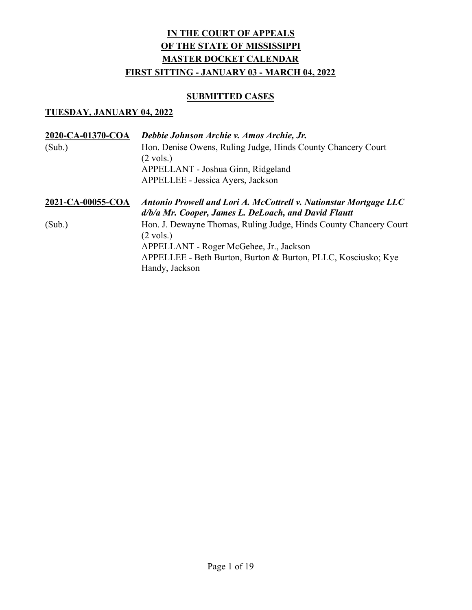### **SUBMITTED CASES**

| 2020-CA-01370-COA | Debbie Johnson Archie v. Amos Archie, Jr.                                                                                 |
|-------------------|---------------------------------------------------------------------------------------------------------------------------|
| (Sub.)            | Hon. Denise Owens, Ruling Judge, Hinds County Chancery Court                                                              |
|                   | $(2 \text{ vols.})$                                                                                                       |
|                   | APPELLANT - Joshua Ginn, Ridgeland                                                                                        |
|                   | APPELLEE - Jessica Ayers, Jackson                                                                                         |
| 2021-CA-00055-COA | Antonio Prowell and Lori A. McCottrell v. Nationstar Mortgage LLC<br>d/b/a Mr. Cooper, James L. DeLoach, and David Flautt |
| (Sub.)            | Hon. J. Dewayne Thomas, Ruling Judge, Hinds County Chancery Court<br>$(2 \text{ vols.})$                                  |
|                   | APPELLANT - Roger McGehee, Jr., Jackson                                                                                   |
|                   | APPELLEE - Beth Burton, Burton & Burton, PLLC, Kosciusko; Kye<br>Handy, Jackson                                           |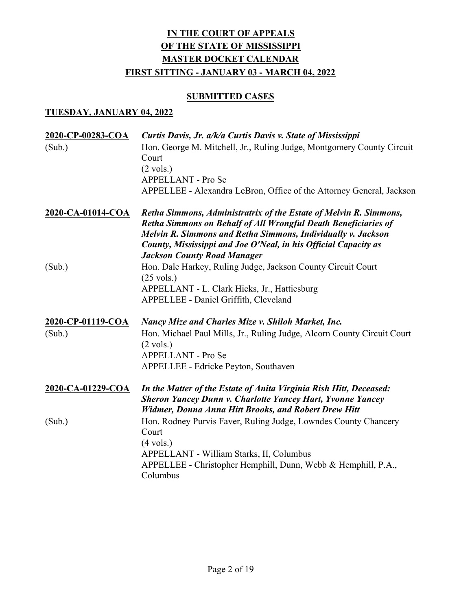# **SUBMITTED CASES**

| 2020-CP-00283-COA<br>(Sub.) | Curtis Davis, Jr. a/k/a Curtis Davis v. State of Mississippi<br>Hon. George M. Mitchell, Jr., Ruling Judge, Montgomery County Circuit<br>Court<br>$(2 \text{ vols.})$<br>APPELLANT - Pro Se<br>APPELLEE - Alexandra LeBron, Office of the Attorney General, Jackson                                          |
|-----------------------------|--------------------------------------------------------------------------------------------------------------------------------------------------------------------------------------------------------------------------------------------------------------------------------------------------------------|
| 2020-CA-01014-COA           | Retha Simmons, Administratrix of the Estate of Melvin R. Simmons,<br>Retha Simmons on Behalf of All Wrongful Death Beneficiaries of<br>Melvin R. Simmons and Retha Simmons, Individually v. Jackson<br>County, Mississippi and Joe O'Neal, in his Official Capacity as<br><b>Jackson County Road Manager</b> |
| (Sub.)                      | Hon. Dale Harkey, Ruling Judge, Jackson County Circuit Court<br>$(25 \text{ vols.})$<br>APPELLANT - L. Clark Hicks, Jr., Hattiesburg<br>APPELLEE - Daniel Griffith, Cleveland                                                                                                                                |
| 2020-CP-01119-COA<br>(Sub.) | <b>Nancy Mize and Charles Mize v. Shiloh Market, Inc.</b><br>Hon. Michael Paul Mills, Jr., Ruling Judge, Alcorn County Circuit Court<br>$(2 \text{ vols.})$<br>APPELLANT - Pro Se<br>APPELLEE - Edricke Peyton, Southaven                                                                                    |
| 2020-CA-01229-COA           | In the Matter of the Estate of Anita Virginia Rish Hitt, Deceased:<br><b>Sheron Yancey Dunn v. Charlotte Yancey Hart, Yvonne Yancey</b><br><b>Widmer, Donna Anna Hitt Brooks, and Robert Drew Hitt</b>                                                                                                       |
| (Sub.)                      | Hon. Rodney Purvis Faver, Ruling Judge, Lowndes County Chancery<br>Court<br>$(4 \text{ vols.})$<br>APPELLANT - William Starks, II, Columbus<br>APPELLEE - Christopher Hemphill, Dunn, Webb & Hemphill, P.A.,<br>Columbus                                                                                     |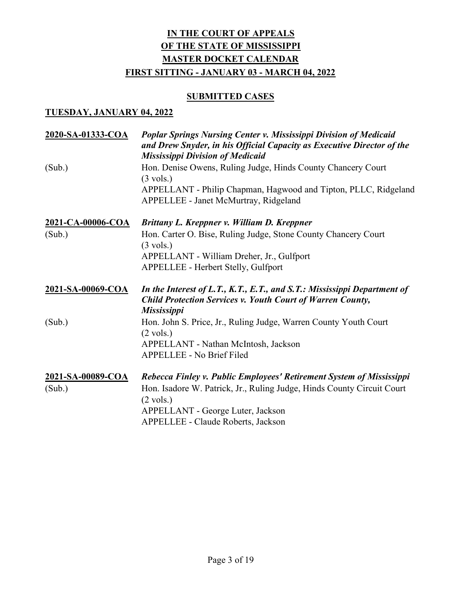# **SUBMITTED CASES**

| 2020-SA-01333-COA | Poplar Springs Nursing Center v. Mississippi Division of Medicaid<br>and Drew Snyder, in his Official Capacity as Executive Director of the<br><b>Mississippi Division of Medicaid</b> |
|-------------------|----------------------------------------------------------------------------------------------------------------------------------------------------------------------------------------|
| (Sub.)            | Hon. Denise Owens, Ruling Judge, Hinds County Chancery Court<br>$(3 \text{ vols.})$                                                                                                    |
|                   | APPELLANT - Philip Chapman, Hagwood and Tipton, PLLC, Ridgeland<br>APPELLEE - Janet McMurtray, Ridgeland                                                                               |
| 2021-CA-00006-COA | Brittany L. Kreppner v. William D. Kreppner                                                                                                                                            |
| (Sub.)            | Hon. Carter O. Bise, Ruling Judge, Stone County Chancery Court<br>$(3 \text{ vols.})$                                                                                                  |
|                   | APPELLANT - William Dreher, Jr., Gulfport                                                                                                                                              |
|                   | APPELLEE - Herbert Stelly, Gulfport                                                                                                                                                    |
| 2021-SA-00069-COA | In the Interest of L.T., K.T., E.T., and S.T.: Mississippi Department of<br><b>Child Protection Services v. Youth Court of Warren County,</b><br><b>Mississippi</b>                    |
| (Sub.)            | Hon. John S. Price, Jr., Ruling Judge, Warren County Youth Court<br>$(2 \text{ vols.})$                                                                                                |
|                   | APPELLANT - Nathan McIntosh, Jackson                                                                                                                                                   |
|                   | APPELLEE - No Brief Filed                                                                                                                                                              |
| 2021-SA-00089-COA | Rebecca Finley v. Public Employees' Retirement System of Mississippi                                                                                                                   |
| (Sub.)            | Hon. Isadore W. Patrick, Jr., Ruling Judge, Hinds County Circuit Court<br>$(2 \text{ vols.})$                                                                                          |
|                   | APPELLANT - George Luter, Jackson                                                                                                                                                      |
|                   | APPELLEE - Claude Roberts, Jackson                                                                                                                                                     |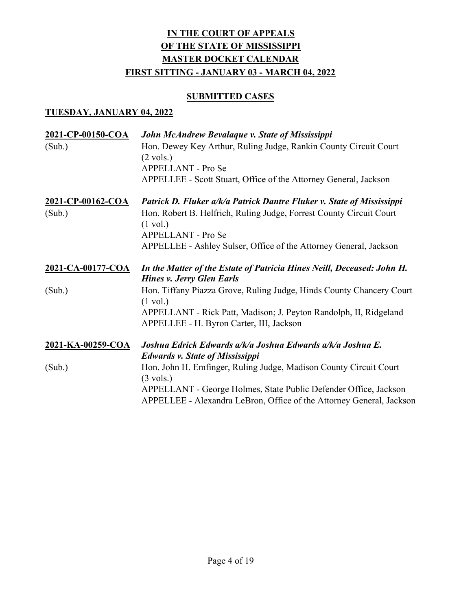# **SUBMITTED CASES**

| 2021-CP-00150-COA           | John McAndrew Bevalaque v. State of Mississippi                                                                                                                                                 |
|-----------------------------|-------------------------------------------------------------------------------------------------------------------------------------------------------------------------------------------------|
| (Sub.)                      | Hon. Dewey Key Arthur, Ruling Judge, Rankin County Circuit Court<br>$(2 \text{ vols.})$<br>APPELLANT - Pro Se                                                                                   |
|                             | APPELLEE - Scott Stuart, Office of the Attorney General, Jackson                                                                                                                                |
| 2021-CP-00162-COA<br>(Sub.) | Patrick D. Fluker a/k/a Patrick Dantre Fluker v. State of Mississippi<br>Hon. Robert B. Helfrich, Ruling Judge, Forrest County Circuit Court<br>$(1 \text{ vol.})$<br><b>APPELLANT - Pro Se</b> |
|                             | APPELLEE - Ashley Sulser, Office of the Attorney General, Jackson                                                                                                                               |
| 2021-CA-00177-COA           | In the Matter of the Estate of Patricia Hines Neill, Deceased: John H.<br><b>Hines v. Jerry Glen Earls</b>                                                                                      |
| (Sub.)                      | Hon. Tiffany Piazza Grove, Ruling Judge, Hinds County Chancery Court<br>$(1 \text{ vol.})$                                                                                                      |
|                             | APPELLANT - Rick Patt, Madison; J. Peyton Randolph, II, Ridgeland<br>APPELLEE - H. Byron Carter, III, Jackson                                                                                   |
| 2021-KA-00259-COA           | Joshua Edrick Edwards a/k/a Joshua Edwards a/k/a Joshua E.<br><b>Edwards v. State of Mississippi</b>                                                                                            |
| (Sub.)                      | Hon. John H. Emfinger, Ruling Judge, Madison County Circuit Court<br>$(3 \text{ vols.})$                                                                                                        |
|                             | APPELLANT - George Holmes, State Public Defender Office, Jackson<br>APPELLEE - Alexandra LeBron, Office of the Attorney General, Jackson                                                        |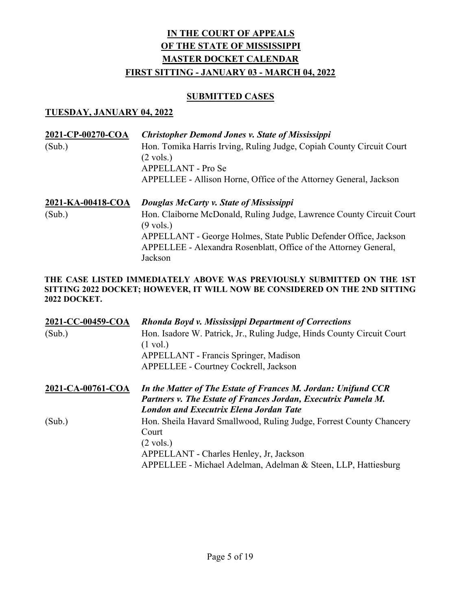#### SUBMITTED CASES

#### TUESDAY, JANUARY 04, 2022

| 2021-CP-00270-COA<br>(Sub.) | <b>Christopher Demond Jones v. State of Mississippi</b><br>Hon. Tomika Harris Irving, Ruling Judge, Copiah County Circuit Court<br>$(2 \text{ vols.})$<br>APPELLANT - Pro Se<br>APPELLEE - Allison Horne, Office of the Attorney General, Jackson                                         |
|-----------------------------|-------------------------------------------------------------------------------------------------------------------------------------------------------------------------------------------------------------------------------------------------------------------------------------------|
| 2021-KA-00418-COA<br>(Sub.) | Douglas McCarty v. State of Mississippi<br>Hon. Claiborne McDonald, Ruling Judge, Lawrence County Circuit Court<br>$(9 \text{ vols.})$<br>APPELLANT - George Holmes, State Public Defender Office, Jackson<br>APPELLEE - Alexandra Rosenblatt, Office of the Attorney General,<br>Jackson |

#### THE CASE LISTED IMMEDIATELY ABOVE WAS PREVIOUSLY SUBMITTED ON THE 1ST SITTING 2022 DOCKET; HOWEVER, IT WILL NOW BE CONSIDERED ON THE 2ND SITTING 2022 DOCKET.

| 2021-CC-00459-COA<br>(Sub.) | <b>Rhonda Boyd v. Mississippi Department of Corrections</b><br>Hon. Isadore W. Patrick, Jr., Ruling Judge, Hinds County Circuit Court<br>$(1 \text{ vol.})$<br><b>APPELLANT</b> - Francis Springer, Madison<br>APPELLEE - Courtney Cockrell, Jackson |
|-----------------------------|------------------------------------------------------------------------------------------------------------------------------------------------------------------------------------------------------------------------------------------------------|
| 2021-CA-00761-COA           | In the Matter of The Estate of Frances M. Jordan: Unifund CCR<br>Partners v. The Estate of Frances Jordan, Executrix Pamela M.<br><b>London and Executrix Elena Jordan Tate</b>                                                                      |
| (Sub.)                      | Hon. Sheila Havard Smallwood, Ruling Judge, Forrest County Chancery<br>Court<br>$(2 \text{ vols.})$<br>APPELLANT - Charles Henley, Jr, Jackson<br>APPELLEE - Michael Adelman, Adelman & Steen, LLP, Hattiesburg                                      |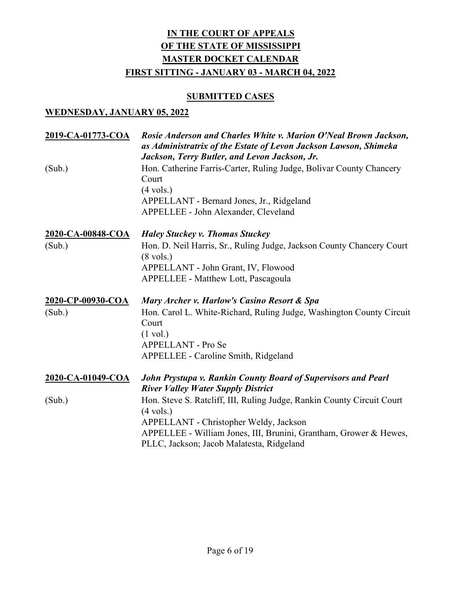# **SUBMITTED CASES**

| 2019-CA-01773-COA | Rosie Anderson and Charles White v. Marion O'Neal Brown Jackson,<br>as Administratrix of the Estate of Levon Jackson Lawson, Shimeka<br>Jackson, Terry Butler, and Levon Jackson, Jr. |
|-------------------|---------------------------------------------------------------------------------------------------------------------------------------------------------------------------------------|
| (Sub.)            | Hon. Catherine Farris-Carter, Ruling Judge, Bolivar County Chancery<br>Court                                                                                                          |
|                   | $(4 \text{ vols.})$                                                                                                                                                                   |
|                   | APPELLANT - Bernard Jones, Jr., Ridgeland                                                                                                                                             |
|                   | APPELLEE - John Alexander, Cleveland                                                                                                                                                  |
| 2020-CA-00848-COA | <b>Haley Stuckey v. Thomas Stuckey</b>                                                                                                                                                |
| (Sub.)            | Hon. D. Neil Harris, Sr., Ruling Judge, Jackson County Chancery Court                                                                                                                 |
|                   | $(8 \text{ vols.})$<br>APPELLANT - John Grant, IV, Flowood                                                                                                                            |
|                   | APPELLEE - Matthew Lott, Pascagoula                                                                                                                                                   |
|                   |                                                                                                                                                                                       |
| 2020-CP-00930-COA | Mary Archer v. Harlow's Casino Resort & Spa                                                                                                                                           |
| (Sub.)            | Hon. Carol L. White-Richard, Ruling Judge, Washington County Circuit                                                                                                                  |
|                   | Court                                                                                                                                                                                 |
|                   | $(1 \text{ vol.})$                                                                                                                                                                    |
|                   | APPELLANT - Pro Se                                                                                                                                                                    |
|                   | APPELLEE - Caroline Smith, Ridgeland                                                                                                                                                  |
| 2020-CA-01049-COA | John Prystupa v. Rankin County Board of Supervisors and Pearl<br><b>River Valley Water Supply District</b>                                                                            |
| (Sub.)            | Hon. Steve S. Ratcliff, III, Ruling Judge, Rankin County Circuit Court                                                                                                                |
|                   | $(4 \text{ vols.})$                                                                                                                                                                   |
|                   | APPELLANT - Christopher Weldy, Jackson                                                                                                                                                |
|                   | APPELLEE - William Jones, III, Brunini, Grantham, Grower & Hewes,<br>PLLC, Jackson; Jacob Malatesta, Ridgeland                                                                        |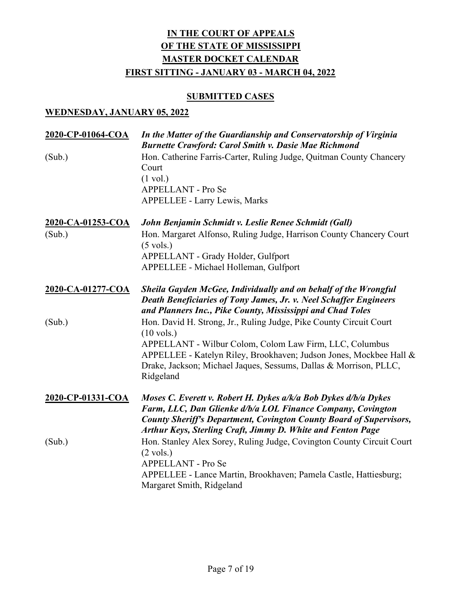# **SUBMITTED CASES**

| 2020-CP-01064-COA | In the Matter of the Guardianship and Conservatorship of Virginia<br><b>Burnette Crawford: Carol Smith v. Dasie Mae Richmond</b>                                                                                                                                                                              |
|-------------------|---------------------------------------------------------------------------------------------------------------------------------------------------------------------------------------------------------------------------------------------------------------------------------------------------------------|
| (Sub.)            | Hon. Catherine Farris-Carter, Ruling Judge, Quitman County Chancery<br>Court<br>$(1 \text{ vol.})$<br>APPELLANT - Pro Se<br><b>APPELLEE - Larry Lewis, Marks</b>                                                                                                                                              |
| 2020-CA-01253-COA | John Benjamin Schmidt v. Leslie Renee Schmidt (Gall)                                                                                                                                                                                                                                                          |
| (Sub.)            | Hon. Margaret Alfonso, Ruling Judge, Harrison County Chancery Court<br>$(5 \text{ vols.})$<br>APPELLANT - Grady Holder, Gulfport                                                                                                                                                                              |
|                   | APPELLEE - Michael Holleman, Gulfport                                                                                                                                                                                                                                                                         |
| 2020-CA-01277-COA | Sheila Gayden McGee, Individually and on behalf of the Wrongful<br>Death Beneficiaries of Tony James, Jr. v. Neel Schaffer Engineers<br>and Planners Inc., Pike County, Mississippi and Chad Toles                                                                                                            |
| (Sub.)            | Hon. David H. Strong, Jr., Ruling Judge, Pike County Circuit Court<br>$(10 \text{ vols.})$<br>APPELLANT - Wilbur Colom, Colom Law Firm, LLC, Columbus<br>APPELLEE - Katelyn Riley, Brookhaven; Judson Jones, Mockbee Hall &<br>Drake, Jackson; Michael Jaques, Sessums, Dallas & Morrison, PLLC,<br>Ridgeland |
| 2020-CP-01331-COA | Moses C. Everett v. Robert H. Dykes a/k/a Bob Dykes d/b/a Dykes<br>Farm, LLC, Dan Glienke d/b/a LOL Finance Company, Covington<br><b>County Sheriff's Department, Covington County Board of Supervisors,</b><br>Arthur Keys, Sterling Craft, Jimmy D. White and Fenton Page                                   |
| (Sub.)            | Hon. Stanley Alex Sorey, Ruling Judge, Covington County Circuit Court<br>$(2 \text{ vols.})$<br>APPELLANT - Pro Se<br>APPELLEE - Lance Martin, Brookhaven; Pamela Castle, Hattiesburg;<br>Margaret Smith, Ridgeland                                                                                           |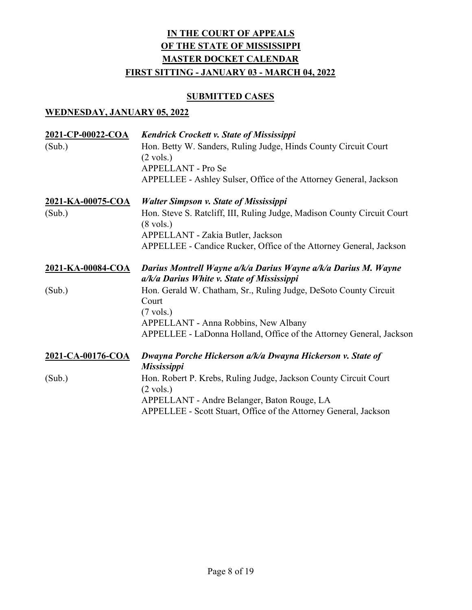# **SUBMITTED CASES**

| 2021-CP-00022-COA | <b>Kendrick Crockett v. State of Mississippi</b>                                                             |
|-------------------|--------------------------------------------------------------------------------------------------------------|
| (Sub.)            | Hon. Betty W. Sanders, Ruling Judge, Hinds County Circuit Court<br>$(2 \text{ vols.})$                       |
|                   | APPELLANT - Pro Se                                                                                           |
|                   | APPELLEE - Ashley Sulser, Office of the Attorney General, Jackson                                            |
| 2021-KA-00075-COA | <b>Walter Simpson v. State of Mississippi</b>                                                                |
| (Sub.)            | Hon. Steve S. Ratcliff, III, Ruling Judge, Madison County Circuit Court<br>$(8 \text{ vols.})$               |
|                   | APPELLANT - Zakia Butler, Jackson                                                                            |
|                   | APPELLEE - Candice Rucker, Office of the Attorney General, Jackson                                           |
| 2021-KA-00084-COA | Darius Montrell Wayne a/k/a Darius Wayne a/k/a Darius M. Wayne<br>a/k/a Darius White v. State of Mississippi |
| (Sub.)            | Hon. Gerald W. Chatham, Sr., Ruling Judge, DeSoto County Circuit<br>Court                                    |
|                   | $(7 \text{ vols.})$                                                                                          |
|                   | APPELLANT - Anna Robbins, New Albany                                                                         |
|                   | APPELLEE - LaDonna Holland, Office of the Attorney General, Jackson                                          |
| 2021-CA-00176-COA | Dwayna Porche Hickerson a/k/a Dwayna Hickerson v. State of<br><b>Mississippi</b>                             |
| (Sub.)            | Hon. Robert P. Krebs, Ruling Judge, Jackson County Circuit Court<br>$(2 \text{ vols.})$                      |
|                   | APPELLANT - Andre Belanger, Baton Rouge, LA                                                                  |
|                   | APPELLEE - Scott Stuart, Office of the Attorney General, Jackson                                             |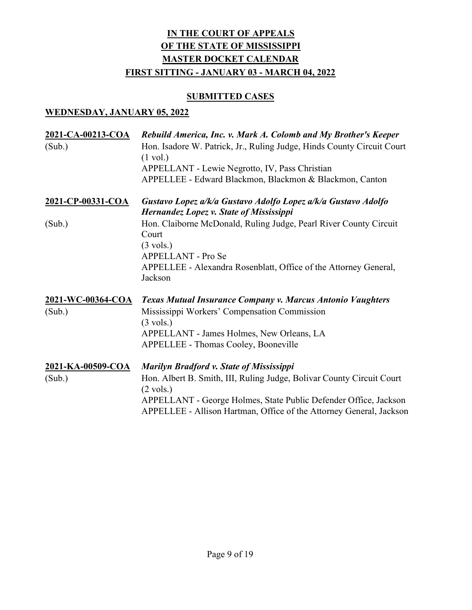# **SUBMITTED CASES**

| 2021-CA-00213-COA<br>(Sub.) | Rebuild America, Inc. v. Mark A. Colomb and My Brother's Keeper<br>Hon. Isadore W. Patrick, Jr., Ruling Judge, Hinds County Circuit Court<br>$(1 \text{ vol.})$<br>APPELLANT - Lewie Negrotto, IV, Pass Christian<br>APPELLEE - Edward Blackmon, Blackmon & Blackmon, Canton               |
|-----------------------------|--------------------------------------------------------------------------------------------------------------------------------------------------------------------------------------------------------------------------------------------------------------------------------------------|
| 2021-CP-00331-COA           | Gustavo Lopez a/k/a Gustavo Adolfo Lopez a/k/a Gustavo Adolfo<br>Hernandez Lopez v. State of Mississippi                                                                                                                                                                                   |
| (Sub.)                      | Hon. Claiborne McDonald, Ruling Judge, Pearl River County Circuit<br>Court<br>$(3 \text{ vols.})$<br><b>APPELLANT - Pro Se</b><br>APPELLEE - Alexandra Rosenblatt, Office of the Attorney General,<br>Jackson                                                                              |
| 2021-WC-00364-COA           | Texas Mutual Insurance Company v. Marcus Antonio Vaughters                                                                                                                                                                                                                                 |
| (Sub.)                      | Mississippi Workers' Compensation Commission<br>$(3 \text{ vols.})$<br>APPELLANT - James Holmes, New Orleans, LA<br>APPELLEE - Thomas Cooley, Booneville                                                                                                                                   |
| 2021-KA-00509-COA<br>(Sub.) | <b>Marilyn Bradford v. State of Mississippi</b><br>Hon. Albert B. Smith, III, Ruling Judge, Bolivar County Circuit Court<br>$(2 \text{ vols.})$<br>APPELLANT - George Holmes, State Public Defender Office, Jackson<br>APPELLEE - Allison Hartman, Office of the Attorney General, Jackson |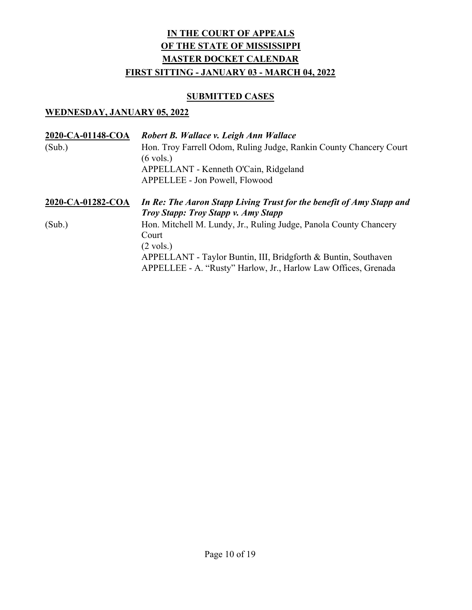# **SUBMITTED CASES**

| 2020-CA-01148-COA | Robert B. Wallace v. Leigh Ann Wallace                                                                             |
|-------------------|--------------------------------------------------------------------------------------------------------------------|
| (Sub.)            | Hon. Troy Farrell Odom, Ruling Judge, Rankin County Chancery Court                                                 |
|                   | $(6 \text{ vols.})$                                                                                                |
|                   | APPELLANT - Kenneth O'Cain, Ridgeland                                                                              |
|                   | APPELLEE - Jon Powell, Flowood                                                                                     |
| 2020-CA-01282-COA | In Re: The Aaron Stapp Living Trust for the benefit of Amy Stapp and<br><b>Troy Stapp: Troy Stapp v. Amy Stapp</b> |
| (Sub.)            | Hon. Mitchell M. Lundy, Jr., Ruling Judge, Panola County Chancery                                                  |
|                   | Court                                                                                                              |
|                   | $(2 \text{ vols.})$                                                                                                |
|                   | APPELLANT - Taylor Buntin, III, Bridgforth & Buntin, Southaven                                                     |
|                   | APPELLEE - A. "Rusty" Harlow, Jr., Harlow Law Offices, Grenada                                                     |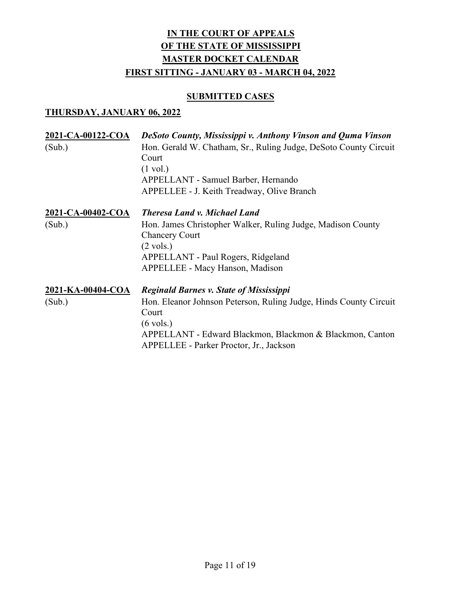# **SUBMITTED CASES**

| 2021-CA-00122-COA<br>(Sub.) | <b>DeSoto County, Mississippi v. Anthony Vinson and Quma Vinson</b><br>Hon. Gerald W. Chatham, Sr., Ruling Judge, DeSoto County Circuit<br>Court<br>$(1 \text{ vol.})$<br>APPELLANT - Samuel Barber, Hernando<br>APPELLEE - J. Keith Treadway, Olive Branch |
|-----------------------------|-------------------------------------------------------------------------------------------------------------------------------------------------------------------------------------------------------------------------------------------------------------|
| 2021-CA-00402-COA<br>(Sub.) | <b>Theresa Land v. Michael Land</b><br>Hon. James Christopher Walker, Ruling Judge, Madison County<br><b>Chancery Court</b><br>$(2 \text{ vols.})$<br>APPELLANT - Paul Rogers, Ridgeland<br><b>APPELLEE - Macy Hanson, Madison</b>                          |
| 2021-KA-00404-COA<br>(Sub.) | <b>Reginald Barnes v. State of Mississippi</b><br>Hon. Eleanor Johnson Peterson, Ruling Judge, Hinds County Circuit<br>Court<br>$(6 \text{ vols.})$<br>APPELLANT - Edward Blackmon, Blackmon & Blackmon, Canton<br>APPELLEE - Parker Proctor, Jr., Jackson  |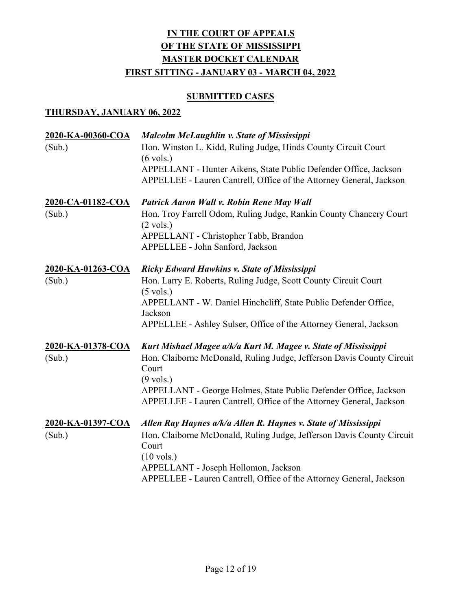# **SUBMITTED CASES**

| 2020-KA-00360-COA<br>(Sub.) | Malcolm McLaughlin v. State of Mississippi<br>Hon. Winston L. Kidd, Ruling Judge, Hinds County Circuit Court<br>$(6 \text{ vols.})$<br>APPELLANT - Hunter Aikens, State Public Defender Office, Jackson<br>APPELLEE - Lauren Cantrell, Office of the Attorney General, Jackson                                     |
|-----------------------------|--------------------------------------------------------------------------------------------------------------------------------------------------------------------------------------------------------------------------------------------------------------------------------------------------------------------|
| 2020-CA-01182-COA<br>(Sub.) | Patrick Aaron Wall v. Robin Rene May Wall<br>Hon. Troy Farrell Odom, Ruling Judge, Rankin County Chancery Court<br>$(2 \text{ vols.})$<br>APPELLANT - Christopher Tabb, Brandon<br>APPELLEE - John Sanford, Jackson                                                                                                |
| 2020-KA-01263-COA<br>(Sub.) | <b>Ricky Edward Hawkins v. State of Mississippi</b><br>Hon. Larry E. Roberts, Ruling Judge, Scott County Circuit Court<br>$(5 \text{ vols.})$<br>APPELLANT - W. Daniel Hinchcliff, State Public Defender Office,<br>Jackson<br>APPELLEE - Ashley Sulser, Office of the Attorney General, Jackson                   |
| 2020-KA-01378-COA<br>(Sub.) | Kurt Mishael Magee a/k/a Kurt M. Magee v. State of Mississippi<br>Hon. Claiborne McDonald, Ruling Judge, Jefferson Davis County Circuit<br>Court<br>$(9 \text{ vols.})$<br>APPELLANT - George Holmes, State Public Defender Office, Jackson<br>APPELLEE - Lauren Cantrell, Office of the Attorney General, Jackson |
| 2020-KA-01397-COA<br>(Sub.) | Allen Ray Haynes a/k/a Allen R. Haynes v. State of Mississippi<br>Hon. Claiborne McDonald, Ruling Judge, Jefferson Davis County Circuit<br>Court<br>$(10 \text{ vols.})$<br>APPELLANT - Joseph Hollomon, Jackson<br>APPELLEE - Lauren Cantrell, Office of the Attorney General, Jackson                            |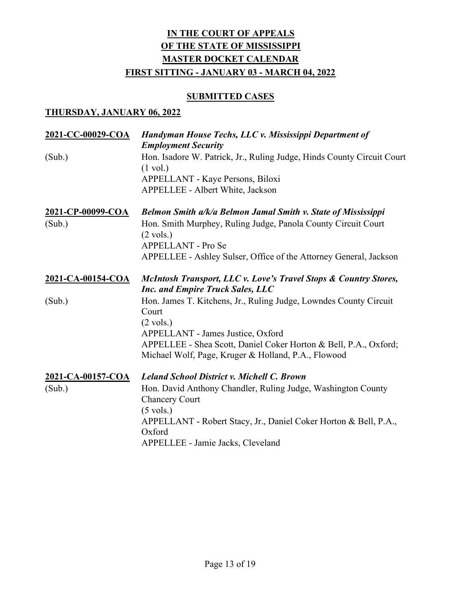# **SUBMITTED CASES**

| 2021-CC-00029-COA | Handyman House Techs, LLC v. Mississippi Department of<br><b>Employment Security</b>                                    |
|-------------------|-------------------------------------------------------------------------------------------------------------------------|
| (Sub.)            | Hon. Isadore W. Patrick, Jr., Ruling Judge, Hinds County Circuit Court<br>$(1 \text{ vol.})$                            |
|                   | APPELLANT - Kaye Persons, Biloxi                                                                                        |
|                   | APPELLEE - Albert White, Jackson                                                                                        |
| 2021-CP-00099-COA | Belmon Smith a/k/a Belmon Jamal Smith v. State of Mississippi                                                           |
| (Sub.)            | Hon. Smith Murphey, Ruling Judge, Panola County Circuit Court<br>$(2 \text{ vols.})$                                    |
|                   | <b>APPELLANT - Pro Se</b>                                                                                               |
|                   | APPELLEE - Ashley Sulser, Office of the Attorney General, Jackson                                                       |
| 2021-CA-00154-COA | McIntosh Transport, LLC v. Love's Travel Stops & Country Stores,<br><b>Inc. and Empire Truck Sales, LLC</b>             |
| (Sub.)            | Hon. James T. Kitchens, Jr., Ruling Judge, Lowndes County Circuit<br>Court                                              |
|                   | $(2 \text{ vols.})$                                                                                                     |
|                   | APPELLANT - James Justice, Oxford                                                                                       |
|                   | APPELLEE - Shea Scott, Daniel Coker Horton & Bell, P.A., Oxford;<br>Michael Wolf, Page, Kruger & Holland, P.A., Flowood |
| 2021-CA-00157-COA | <b>Leland School District v. Michell C. Brown</b>                                                                       |
| (Sub.)            | Hon. David Anthony Chandler, Ruling Judge, Washington County<br><b>Chancery Court</b>                                   |
|                   | $(5 \text{ vols.})$                                                                                                     |
|                   | APPELLANT - Robert Stacy, Jr., Daniel Coker Horton & Bell, P.A.,<br>Oxford                                              |
|                   | APPELLEE - Jamie Jacks, Cleveland                                                                                       |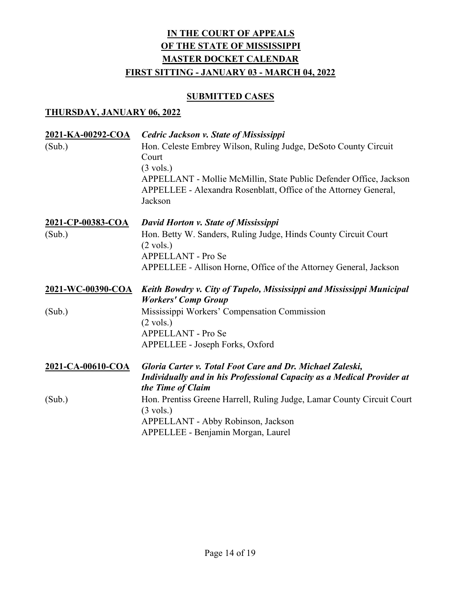# **SUBMITTED CASES**

| 2021-KA-00292-COA<br>(Sub.) | <b>Cedric Jackson v. State of Mississippi</b><br>Hon. Celeste Embrey Wilson, Ruling Judge, DeSoto County Circuit<br>Court<br>$(3 \text{ vols.})$<br>APPELLANT - Mollie McMillin, State Public Defender Office, Jackson<br>APPELLEE - Alexandra Rosenblatt, Office of the Attorney General,<br>Jackson |
|-----------------------------|-------------------------------------------------------------------------------------------------------------------------------------------------------------------------------------------------------------------------------------------------------------------------------------------------------|
| 2021-CP-00383-COA           | David Horton v. State of Mississippi                                                                                                                                                                                                                                                                  |
| (Sub.)                      | Hon. Betty W. Sanders, Ruling Judge, Hinds County Circuit Court<br>$(2 \text{ vols.})$<br>APPELLANT - Pro Se                                                                                                                                                                                          |
|                             | APPELLEE - Allison Horne, Office of the Attorney General, Jackson                                                                                                                                                                                                                                     |
| 2021-WC-00390-COA           | Keith Bowdry v. City of Tupelo, Mississippi and Mississippi Municipal                                                                                                                                                                                                                                 |
|                             | <b>Workers' Comp Group</b>                                                                                                                                                                                                                                                                            |
| (Sub.)                      | Mississippi Workers' Compensation Commission<br>$(2 \text{ vols.})$                                                                                                                                                                                                                                   |
|                             | <b>APPELLANT - Pro Se</b>                                                                                                                                                                                                                                                                             |
|                             | APPELLEE - Joseph Forks, Oxford                                                                                                                                                                                                                                                                       |
| 2021-CA-00610-COA           | Gloria Carter v. Total Foot Care and Dr. Michael Zaleski,<br><b>Individually and in his Professional Capacity as a Medical Provider at</b><br>the Time of Claim                                                                                                                                       |
| (Sub.)                      | Hon. Prentiss Greene Harrell, Ruling Judge, Lamar County Circuit Court<br>$(3 \text{ vols.})$                                                                                                                                                                                                         |
|                             | APPELLANT - Abby Robinson, Jackson                                                                                                                                                                                                                                                                    |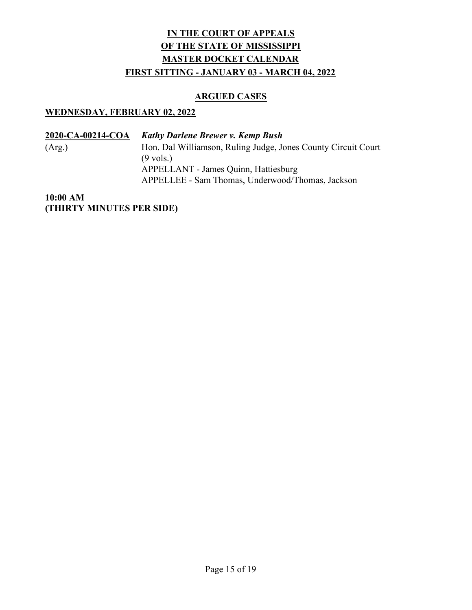# ARGUED CASES

#### WEDNESDAY, FEBRUARY 02, 2022

| 2020-CA-00214-COA | <b>Kathy Darlene Brewer v. Kemp Bush</b>                      |
|-------------------|---------------------------------------------------------------|
| (Arg.)            | Hon. Dal Williamson, Ruling Judge, Jones County Circuit Court |
|                   | $(9 \text{ vols.})$                                           |
|                   | APPELLANT - James Quinn, Hattiesburg                          |
|                   | APPELLEE - Sam Thomas, Underwood/Thomas, Jackson              |

10:00 AM (THIRTY MINUTES PER SIDE)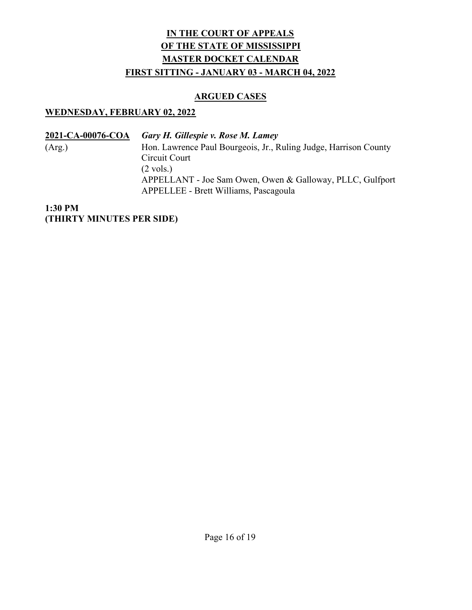# ARGUED CASES

# WEDNESDAY, FEBRUARY 02, 2022

| 2021-CA-00076-COA | Gary H. Gillespie v. Rose M. Lamey                               |
|-------------------|------------------------------------------------------------------|
| (Arg.)            | Hon. Lawrence Paul Bourgeois, Jr., Ruling Judge, Harrison County |
|                   | Circuit Court                                                    |
|                   | $(2 \text{ vols.})$                                              |
|                   | APPELLANT - Joe Sam Owen, Owen & Galloway, PLLC, Gulfport        |
|                   | APPELLEE - Brett Williams, Pascagoula                            |

# 1:30 PM (THIRTY MINUTES PER SIDE)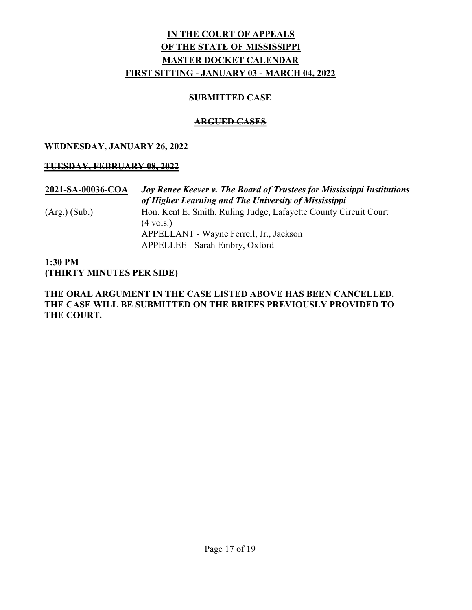# SUBMITTED CASE

# ARGUED CASES

# WEDNESDAY, JANUARY 26, 2022

# TUESDAY, FEBRUARY 08, 2022

# 2021-SA-00036-COA Joy Renee Keever v. The Board of Trustees for Mississippi Institutions of Higher Learning and The University of Mississippi (Arg.) (Sub.) Hon. Kent E. Smith, Ruling Judge, Lafayette County Circuit Court (4 vols.) APPELLANT - Wayne Ferrell, Jr., Jackson APPELLEE - Sarah Embry, Oxford

# 1:30 PM (THIRTY MINUTES PER SIDE)

# THE ORAL ARGUMENT IN THE CASE LISTED ABOVE HAS BEEN CANCELLED. THE CASE WILL BE SUBMITTED ON THE BRIEFS PREVIOUSLY PROVIDED TO THE COURT.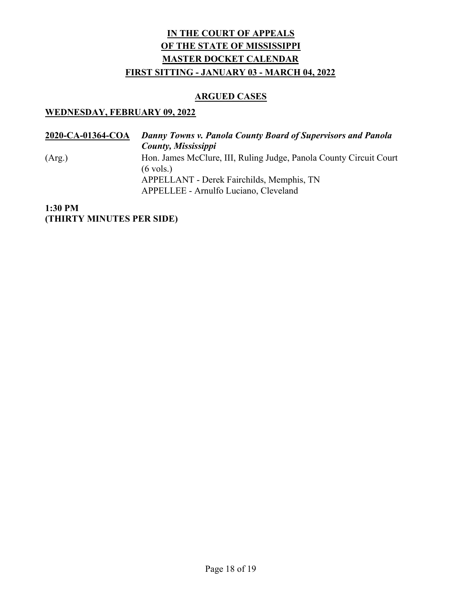### ARGUED CASES

#### WEDNESDAY, FEBRUARY 09, 2022

2020-CA-01364-COA Danny Towns v. Panola County Board of Supervisors and Panola County, Mississippi (Arg.) Hon. James McClure, III, Ruling Judge, Panola County Circuit Court (6 vols.) APPELLANT - Derek Fairchilds, Memphis, TN APPELLEE - Arnulfo Luciano, Cleveland

## 1:30 PM (THIRTY MINUTES PER SIDE)